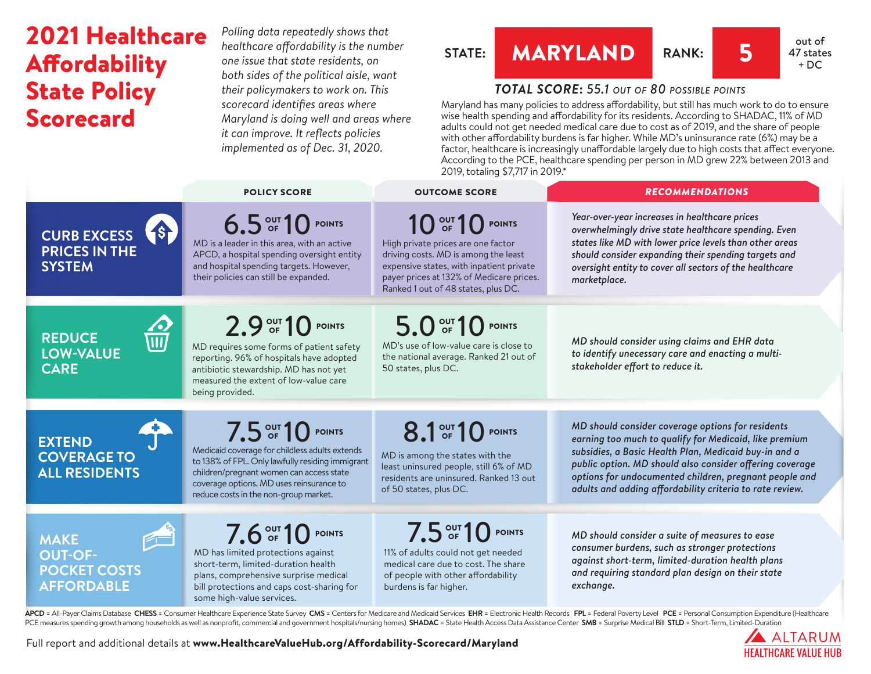## 2021 Healthcare Affordability State Policy Scorecard

*Polling data repeatedly shows that healthcare affordability is the number one issue that state residents, on both sides of the political aisle, want their policymakers to work on. This scorecard identifies areas where Maryland is doing well and areas where it can improve. It reflects policies implemented as of Dec. 31, 2020.*

## **STATE: MARYLAND RANK:** 5 **all sout of**



### *TOTAL SCORE***:** *55.1 out of 80 possible points*

Maryland has many policies to address affordability, but still has much work to do to ensure wise health spending and affordability for its residents. According to SHADAC, 11% of MD adults could not get needed medical care due to cost as of 2019, and the share of people with other affordability burdens is far higher. While MD's uninsurance rate (6%) may be a factor, healthcare is increasingly unaffordable largely due to high costs that affect everyone. According to the PCE, healthcare spending per person in MD grew 22% between 2013 and 2019, totaling \$7,717 in 2019.\*

|                                                                                | <b>POLICY SCORE</b>                                                                                                                                                                                                                                      | <b>OUTCOME SCORE</b>                                                                                                                                                                                                          | <b>RECOMMENDATIONS</b>                                                                                                                                                                                                                                                                                                                                 |
|--------------------------------------------------------------------------------|----------------------------------------------------------------------------------------------------------------------------------------------------------------------------------------------------------------------------------------------------------|-------------------------------------------------------------------------------------------------------------------------------------------------------------------------------------------------------------------------------|--------------------------------------------------------------------------------------------------------------------------------------------------------------------------------------------------------------------------------------------------------------------------------------------------------------------------------------------------------|
| 18<br><b>CURB EXCESS</b><br><b>PRICES IN THE</b><br><b>SYSTEM</b>              | 6.5 OUT 10 POINTS<br>MD is a leader in this area, with an active<br>APCD, a hospital spending oversight entity<br>and hospital spending targets. However,<br>their policies can still be expanded.                                                       | 10 OUT 10 POINTS<br>High private prices are one factor<br>driving costs. MD is among the least<br>expensive states, with inpatient private<br>payer prices at 132% of Medicare prices.<br>Ranked 1 out of 48 states, plus DC. | Year-over-year increases in healthcare prices<br>overwhelmingly drive state healthcare spending. Even<br>states like MD with lower price levels than other areas<br>should consider expanding their spending targets and<br>oversight entity to cover all sectors of the healthcare<br>marketplace.                                                    |
| <b>REDUCE</b><br><b>LOW-VALUE</b><br><b>CARE</b>                               | 2.9 OUT 10 POINTS<br>MD requires some forms of patient safety<br>reporting. 96% of hospitals have adopted<br>antibiotic stewardship. MD has not yet<br>measured the extent of low-value care<br>being provided.                                          | 5.0 OF 10 POINTS<br>MD's use of low-value care is close to<br>the national average. Ranked 21 out of<br>50 states, plus DC.                                                                                                   | MD should consider using claims and EHR data<br>to identify unecessary care and enacting a multi-<br>stakeholder effort to reduce it.                                                                                                                                                                                                                  |
| <b>EXTEND</b><br><b>COVERAGE TO</b><br><b>ALL RESIDENTS</b>                    | 7.5 OUT 10 POINTS<br>Medicaid coverage for childless adults extends<br>to 138% of FPL. Only lawfully residing immigrant<br>children/pregnant women can access state<br>coverage options. MD uses reinsurance to<br>reduce costs in the non-group market. | 8.1 OF 10 POINTS<br>MD is among the states with the<br>least uninsured people, still 6% of MD<br>residents are uninsured. Ranked 13 out<br>of 50 states, plus DC.                                                             | MD should consider coverage options for residents<br>earning too much to qualify for Medicaid, like premium<br>subsidies, a Basic Health Plan, Medicaid buy-in and a<br>public option. MD should also consider offering coverage<br>options for undocumented children, pregnant people and<br>adults and adding affordability criteria to rate review. |
| E<br><b>MAKE</b><br><b>OUT-OF-</b><br><b>POCKET COSTS</b><br><b>AFFORDABLE</b> | 7.6 OUT 10 POINTS<br>MD has limited protections against<br>short-term, limited-duration health<br>plans, comprehensive surprise medical<br>bill protections and caps cost-sharing for<br>some high-value services.                                       | 7.5 OUT 10 POINTS<br>11% of adults could not get needed<br>medical care due to cost. The share<br>of people with other affordability<br>burdens is far higher.                                                                | MD should consider a suite of measures to ease<br>consumer burdens, such as stronger protections<br>against short-term, limited-duration health plans<br>and requiring standard plan design on their state<br>exchange.                                                                                                                                |

APCD = All-Payer Claims Database CHESS = Consumer Healthcare Experience State Survey CMS = Centers for Medicare and Medicaid Services EHR = Electronic Health Records FPL = Federal Poverty Level PCE = Personal Consumption E PCE measures spending growth among households as well as nonprofit, commercial and government hospitals/nursing homes) SHADAC = State Health Access Data Assistance Center SMB = Surprise Medical Bill STLD = Short-Term, Limi

> A ALTARUM **HEALTHCARE VALUE HUR**

Full report and additional details at [www.HealthcareValueHub.org/Affordability-Scorecard/M](https://www.HealthcareValueHub.org/Affordability-Scorecard/Maryland)aryland